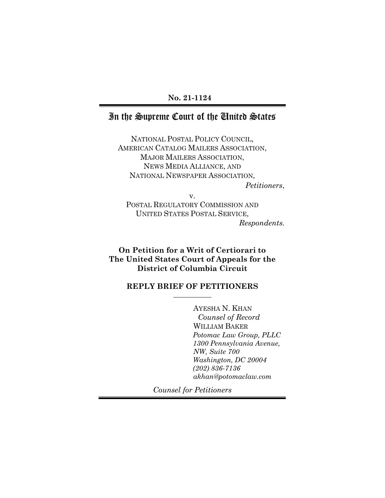## **No. 21-1124**

## In the Supreme Court of the United States

NATIONAL POSTAL POLICY COUNCIL, AMERICAN CATALOG MAILERS ASSOCIATION, MAJOR MAILERS ASSOCIATION, NEWS MEDIA ALLIANCE, AND NATIONAL NEWSPAPER ASSOCIATION,

*Petitioners*,

v. POSTAL REGULATORY COMMISSION AND UNITED STATES POSTAL SERVICE, *Respondents.*

**On Petition for a Writ of Certiorari to The United States Court of Appeals for the District of Columbia Circuit**

### **REPLY BRIEF OF PETITIONERS**

AYESHA N. KHAN *Counsel of Record* WILLIAM BAKER *Potomac Law Group, PLLC 1300 Pennsylvania Avenue, NW, Suite 700 Washington, DC 20004 (202) 836-7136 akhan@potomaclaw.com*

*Counsel for Petitioners*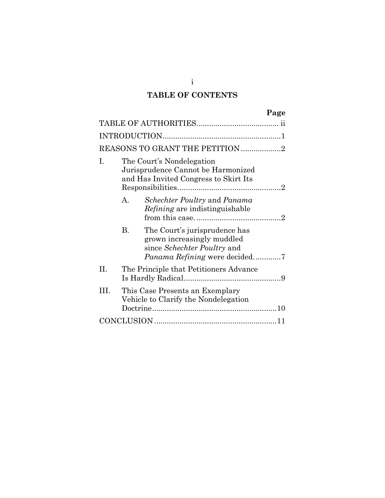# **TABLE OF CONTENTS**

|     |                                                                                                          |                                                                                                   | Page |  |  |
|-----|----------------------------------------------------------------------------------------------------------|---------------------------------------------------------------------------------------------------|------|--|--|
|     |                                                                                                          |                                                                                                   |      |  |  |
|     |                                                                                                          |                                                                                                   |      |  |  |
|     |                                                                                                          | REASONS TO GRANT THE PETITION 2                                                                   |      |  |  |
| Ι.  | The Court's Nondelegation<br>Jurisprudence Cannot be Harmonized<br>and Has Invited Congress to Skirt Its |                                                                                                   |      |  |  |
|     | $A_{\cdot}$                                                                                              | <i>Schechter Poultry</i> and <i>Panama</i><br><i>Refining</i> are indistinguishable               |      |  |  |
|     | B.                                                                                                       | The Court's jurisprudence has<br>grown increasingly muddled<br>since <i>Schechter Poultry</i> and |      |  |  |
| H.  |                                                                                                          | The Principle that Petitioners Advance                                                            |      |  |  |
| HL. |                                                                                                          | This Case Presents an Exemplary<br>Vehicle to Clarify the Nondelegation                           |      |  |  |
|     |                                                                                                          |                                                                                                   |      |  |  |

i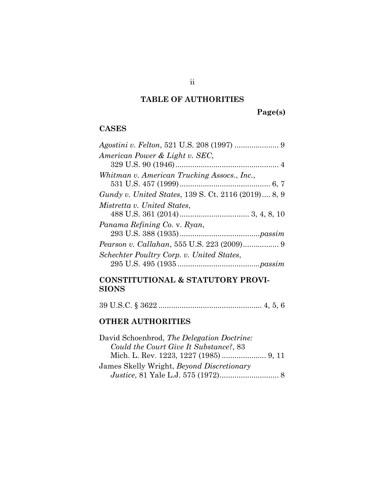# **TABLE OF AUTHORITIES**

**Page(s)**

## **CASES**

| <i>Agostini v. Felton, 521 U.S. 208 (1997) </i> 9   |
|-----------------------------------------------------|
| American Power & Light v. SEC,                      |
|                                                     |
| Whitman v. American Trucking Assocs., Inc.,         |
|                                                     |
| Gundy v. United States, 139 S. Ct. 2116 (2019) 8, 9 |
| Mistretta v. United States,                         |
|                                                     |
| Panama Refining Co. v. Ryan,                        |
|                                                     |
|                                                     |
| Schechter Poultry Corp. v. United States,           |
|                                                     |
|                                                     |

## **CONSTITUTIONAL & STATUTORY PROVI-SIONS**

39 U.S.C. § 3622 ................................................. 4, 5, 6

## **OTHER AUTHORITIES**

| David Schoenbrod, The Delegation Doctrine:       |  |
|--------------------------------------------------|--|
| Could the Court Give It Substance?, 83           |  |
|                                                  |  |
| James Skelly Wright, <i>Beyond Discretionary</i> |  |
|                                                  |  |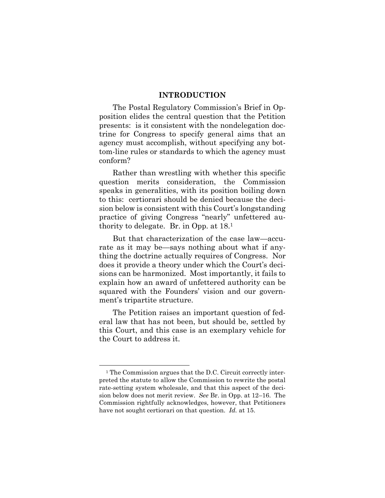#### **INTRODUCTION**

The Postal Regulatory Commission's Brief in Opposition elides the central question that the Petition presents: is it consistent with the nondelegation doctrine for Congress to specify general aims that an agency must accomplish, without specifying any bottom-line rules or standards to which the agency must conform?

Rather than wrestling with whether this specific question merits consideration, the Commission speaks in generalities, with its position boiling down to this: certiorari should be denied because the decision below is consistent with this Court's longstanding practice of giving Congress "nearly" unfettered authority to delegate. Br. in Opp. at 18.<sup>1</sup>

But that characterization of the case law—accurate as it may be—says nothing about what if anything the doctrine actually requires of Congress. Nor does it provide a theory under which the Court's decisions can be harmonized. Most importantly, it fails to explain how an award of unfettered authority can be squared with the Founders' vision and our government's tripartite structure.

The Petition raises an important question of federal law that has not been, but should be, settled by this Court, and this case is an exemplary vehicle for the Court to address it.

<sup>1</sup> The Commission argues that the D.C. Circuit correctly interpreted the statute to allow the Commission to rewrite the postal rate-setting system wholesale, and that this aspect of the decision below does not merit review. *See* Br. in Opp. at 12–16. The Commission rightfully acknowledges, however, that Petitioners have not sought certiorari on that question. *Id.* at 15.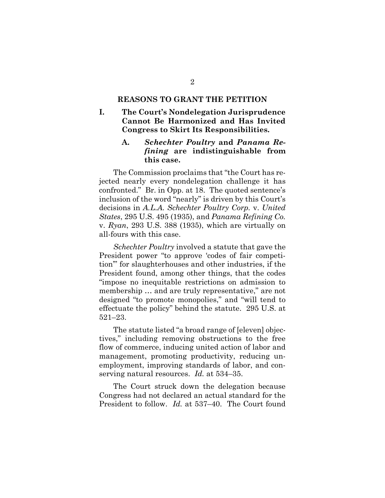### **REASONS TO GRANT THE PETITION**

### **I. The Court's Nondelegation Jurisprudence Cannot Be Harmonized and Has Invited Congress to Skirt Its Responsibilities.**

### **A.** *Schechter Poultry* **and** *Panama Refining* **are indistinguishable from this case.**

The Commission proclaims that "the Court has rejected nearly every nondelegation challenge it has confronted." Br. in Opp. at 18. The quoted sentence's inclusion of the word "nearly" is driven by this Court's decisions in *A.L.A. Schechter Poultry Corp.* v. *United States*, 295 U.S. 495 (1935), and *Panama Refining Co.*  v. *Ryan*, 293 U.S. 388 (1935), which are virtually on all-fours with this case.

*Schechter Poultry* involved a statute that gave the President power "to approve 'codes of fair competition'" for slaughterhouses and other industries, if the President found, among other things, that the codes "impose no inequitable restrictions on admission to membership … and are truly representative," are not designed "to promote monopolies," and "will tend to effectuate the policy" behind the statute. 295 U.S. at 521–23.

The statute listed "a broad range of [eleven] objectives," including removing obstructions to the free flow of commerce, inducing united action of labor and management, promoting productivity, reducing unemployment, improving standards of labor, and conserving natural resources. *Id.* at 534–35.

The Court struck down the delegation because Congress had not declared an actual standard for the President to follow. *Id.* at 537–40. The Court found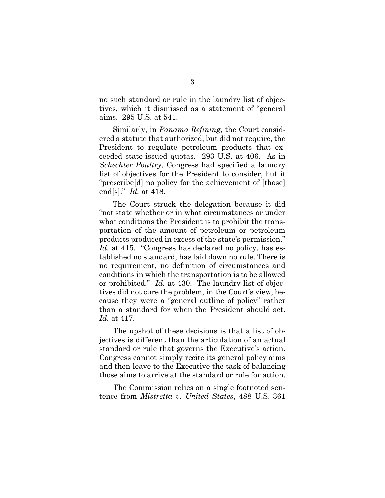no such standard or rule in the laundry list of objectives, which it dismissed as a statement of "general aims. 295 U.S. at 541.

Similarly, in *Panama Refining*, the Court considered a statute that authorized, but did not require, the President to regulate petroleum products that exceeded state-issued quotas. 293 U.S. at 406. As in *Schechter Poultry*, Congress had specified a laundry list of objectives for the President to consider, but it "prescribe[d] no policy for the achievement of [those] end[s]." *Id.* at 418.

The Court struck the delegation because it did "not state whether or in what circumstances or under what conditions the President is to prohibit the transportation of the amount of petroleum or petroleum products produced in excess of the state's permission." Id. at 415. "Congress has declared no policy, has established no standard, has laid down no rule. There is no requirement, no definition of circumstances and conditions in which the transportation is to be allowed or prohibited." *Id.* at 430. The laundry list of objectives did not cure the problem, in the Court's view, because they were a "general outline of policy" rather than a standard for when the President should act. *Id.* at 417.

The upshot of these decisions is that a list of objectives is different than the articulation of an actual standard or rule that governs the Executive's action. Congress cannot simply recite its general policy aims and then leave to the Executive the task of balancing those aims to arrive at the standard or rule for action.

The Commission relies on a single footnoted sentence from *Mistretta v. United States*, 488 U.S. 361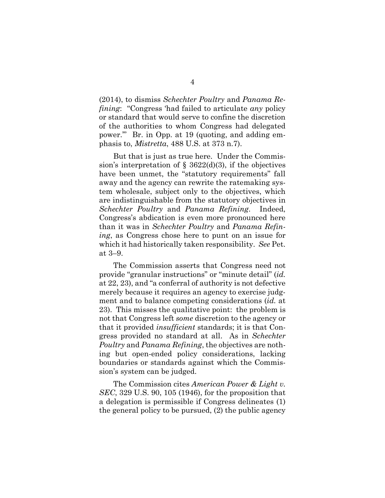(2014), to dismiss *Schechter Poultry* and *Panama Refining*: "Congress 'had failed to articulate *any* policy or standard that would serve to confine the discretion of the authorities to whom Congress had delegated power.'" Br. in Opp. at 19 (quoting, and adding emphasis to, *Mistretta*, 488 U.S. at 373 n.7).

But that is just as true here. Under the Commission's interpretation of  $\S$  3622(d)(3), if the objectives have been unmet, the "statutory requirements" fall away and the agency can rewrite the ratemaking system wholesale, subject only to the objectives, which are indistinguishable from the statutory objectives in *Schechter Poultry* and *Panama Refining*. Indeed, Congress's abdication is even more pronounced here than it was in *Schechter Poultry* and *Panama Refining*, as Congress chose here to punt on an issue for which it had historically taken responsibility. *See* Pet. at 3–9.

The Commission asserts that Congress need not provide "granular instructions" or "minute detail" (*id.* at 22, 23), and "a conferral of authority is not defective merely because it requires an agency to exercise judgment and to balance competing considerations (*id.* at 23). This misses the qualitative point: the problem is not that Congress left *some* discretion to the agency or that it provided *insufficient* standards; it is that Congress provided no standard at all. As in *Schechter Poultry* and *Panama Refining*, the objectives are nothing but open-ended policy considerations, lacking boundaries or standards against which the Commission's system can be judged.

The Commission cites *American Power & Light v. SEC*, 329 U.S. 90, 105 (1946), for the proposition that a delegation is permissible if Congress delineates (1) the general policy to be pursued, (2) the public agency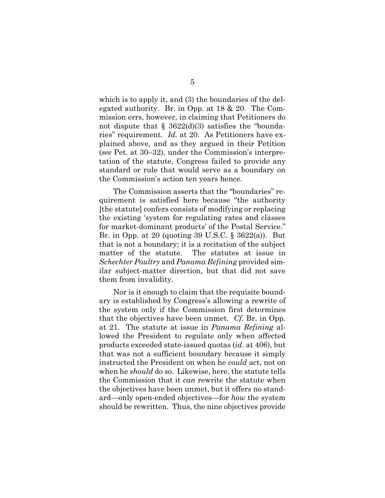which is to apply it, and (3) the boundaries of the delegated authority. Br. in Opp. at 18 & 20. The Commission errs, however, in claiming that Petitioners do not dispute that  $\S$  3622(d)(3) satisfies the "boundaries" requirement. *Id.* at 20. As Petitioners have explained above, and as they argued in their Petition (*see* Pet. at 30–32), under the Commission's interpretation of the statute, Congress failed to provide any standard or rule that would serve as a boundary on the Commission's action ten years hence.

The Commission asserts that the "boundaries" requirement is satisfied here because "the authority [the statute] confers consists of modifying or replacing the existing 'system for regulating rates and classes for market-dominant products' of the Postal Service." Br. in Opp. at 20 (quoting 39 U.S.C.  $\S$  3622(a)). But that is not a boundary; it is a recitation of the subject matter of the statute. The statutes at issue in *Schechter Poultry* and *Panama Refining* provided similar subject-matter direction, but that did not save them from invalidity.

Nor is it enough to claim that the requisite boundary is established by Congress's allowing a rewrite of the system only if the Commission first determines that the objectives have been unmet. *Cf.* Br. in Opp. at 21. The statute at issue in *Panama Refining* allowed the President to regulate only when affected products exceeded state-issued quotas (*id.* at 406), but that was not a sufficient boundary because it simply instructed the President on when he *could* act, not on when he *should* do so. Likewise, here, the statute tells the Commission that it *can* rewrite the statute when the objectives have been unmet, but it offers no standard—only open-ended objectives—for *how* the system should be rewritten. Thus, the nine objectives provide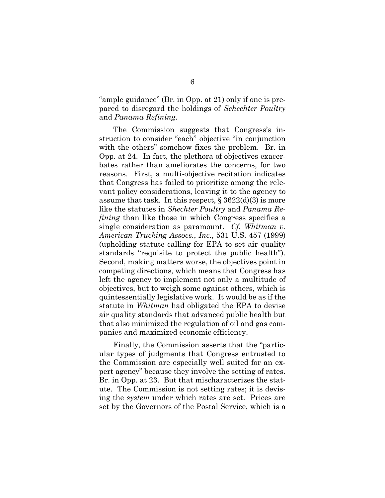"ample guidance" (Br. in Opp. at 21) only if one is prepared to disregard the holdings of *Schechter Poultry* and *Panama Refining*.

The Commission suggests that Congress's instruction to consider "each" objective "in conjunction with the others" somehow fixes the problem. Br. in Opp. at 24. In fact, the plethora of objectives exacerbates rather than ameliorates the concerns, for two reasons. First, a multi-objective recitation indicates that Congress has failed to prioritize among the relevant policy considerations, leaving it to the agency to assume that task. In this respect,  $\S 3622(d)(3)$  is more like the statutes in *Shechter Poultry* and *Panama Refining* than like those in which Congress specifies a single consideration as paramount. *Cf. Whitman v. American Trucking Assocs.*, *Inc.*, 531 U.S. 457 (1999) (upholding statute calling for EPA to set air quality standards "requisite to protect the public health"). Second, making matters worse, the objectives point in competing directions, which means that Congress has left the agency to implement not only a multitude of objectives, but to weigh some against others, which is quintessentially legislative work. It would be as if the statute in *Whitman* had obligated the EPA to devise air quality standards that advanced public health but that also minimized the regulation of oil and gas companies and maximized economic efficiency.

Finally, the Commission asserts that the "particular types of judgments that Congress entrusted to the Commission are especially well suited for an expert agency" because they involve the setting of rates. Br. in Opp. at 23. But that mischaracterizes the statute. The Commission is not setting rates; it is devising the *system* under which rates are set. Prices are set by the Governors of the Postal Service, which is a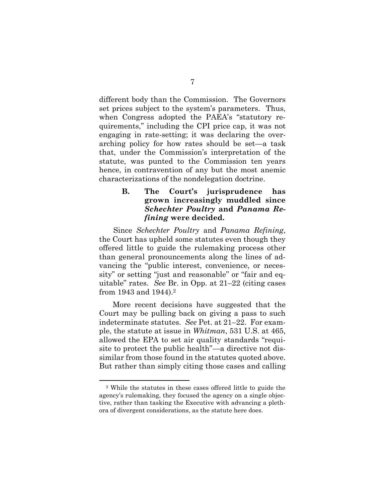different body than the Commission. The Governors set prices subject to the system's parameters. Thus, when Congress adopted the PAEA's "statutory requirements," including the CPI price cap, it was not engaging in rate-setting; it was declaring the overarching policy for how rates should be set—a task that, under the Commission's interpretation of the statute, was punted to the Commission ten years hence, in contravention of any but the most anemic characterizations of the nondelegation doctrine.

### **B. The Court's jurisprudence has grown increasingly muddled since**  *Schechter Poultry* **and** *Panama Refining* **were decided.**

Since *Schechter Poultry* and *Panama Refining*, the Court has upheld some statutes even though they offered little to guide the rulemaking process other than general pronouncements along the lines of advancing the "public interest, convenience, or necessity" or setting "just and reasonable" or "fair and equitable" rates. *See* Br. in Opp. at 21–22 (citing cases from 1943 and 1944).<sup>2</sup>

More recent decisions have suggested that the Court may be pulling back on giving a pass to such indeterminate statutes. *See* Pet. at 21–22. For example, the statute at issue in *Whitman*, 531 U.S. at 465, allowed the EPA to set air quality standards "requisite to protect the public health"—a directive not dissimilar from those found in the statutes quoted above. But rather than simply citing those cases and calling

<sup>2</sup> While the statutes in these cases offered little to guide the agency's rulemaking, they focused the agency on a single objective, rather than tasking the Executive with advancing a plethora of divergent considerations, as the statute here does.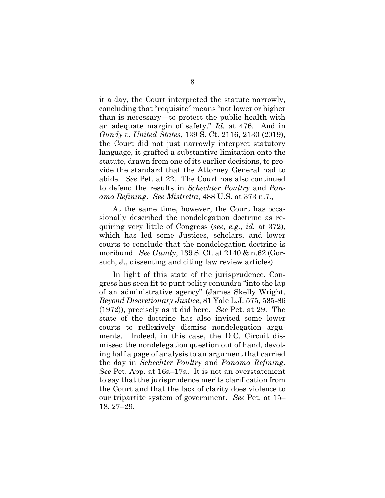it a day, the Court interpreted the statute narrowly, concluding that "requisite" means "not lower or higher than is necessary—to protect the public health with an adequate margin of safety." *Id.* at 476. And in *Gundy v. United States*, 139 S. Ct. 2116, 2130 (2019), the Court did not just narrowly interpret statutory language, it grafted a substantive limitation onto the statute, drawn from one of its earlier decisions, to provide the standard that the Attorney General had to abide. *See* Pet. at 22. The Court has also continued to defend the results in *Schechter Poultry* and *Panama Refining*. *See Mistretta*, 488 U.S. at 373 n.7.,

At the same time, however, the Court has occasionally described the nondelegation doctrine as requiring very little of Congress (*see, e.g., id.* at 372), which has led some Justices, scholars, and lower courts to conclude that the nondelegation doctrine is moribund. *See Gundy*, 139 S. Ct. at 2140 & n.62 (Gorsuch, J., dissenting and citing law review articles).

In light of this state of the jurisprudence, Congress has seen fit to punt policy conundra "into the lap of an administrative agency" (James Skelly Wright, *Beyond Discretionary Justice*, 81 Yale L.J. 575, 585-86 (1972)), precisely as it did here. *See* Pet. at 29. The state of the doctrine has also invited some lower courts to reflexively dismiss nondelegation arguments. Indeed, in this case, the D.C. Circuit dismissed the nondelegation question out of hand, devoting half a page of analysis to an argument that carried the day in *Schechter Poultry* and *Panama Refining*. *See* Pet. App. at 16a–17a. It is not an overstatement to say that the jurisprudence merits clarification from the Court and that the lack of clarity does violence to our tripartite system of government. *See* Pet. at 15– 18, 27–29.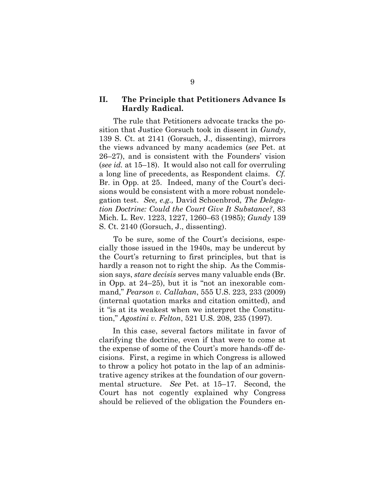#### **II. The Principle that Petitioners Advance Is Hardly Radical.**

The rule that Petitioners advocate tracks the position that Justice Gorsuch took in dissent in *Gundy*, 139 S. Ct. at 2141 (Gorsuch, J., dissenting), mirrors the views advanced by many academics (*see* Pet. at 26–27), and is consistent with the Founders' vision (*see id.* at 15–18). It would also not call for overruling a long line of precedents, as Respondent claims. *Cf.* Br. in Opp. at 25. Indeed, many of the Court's decisions would be consistent with a more robust nondelegation test. *See, e.g.,* David Schoenbrod, *The Delegation Doctrine: Could the Court Give It Substance?*, 83 Mich. L. Rev. 1223, 1227, 1260–63 (1985); *Gundy* 139 S. Ct. 2140 (Gorsuch, J., dissenting).

To be sure, some of the Court's decisions, especially those issued in the 1940s, may be undercut by the Court's returning to first principles, but that is hardly a reason not to right the ship. As the Commission says, *stare decisis* serves many valuable ends (Br. in Opp. at 24–25), but it is "not an inexorable command," *Pearson v. Callahan*, 555 U.S. 223, 233 (2009) (internal quotation marks and citation omitted), and it "is at its weakest when we interpret the Constitution," *Agostini v. Felton*, 521 U.S. 208, 235 (1997).

In this case, several factors militate in favor of clarifying the doctrine, even if that were to come at the expense of some of the Court's more hands-off decisions. First, a regime in which Congress is allowed to throw a policy hot potato in the lap of an administrative agency strikes at the foundation of our governmental structure. *See* Pet. at 15–17. Second, the Court has not cogently explained why Congress should be relieved of the obligation the Founders en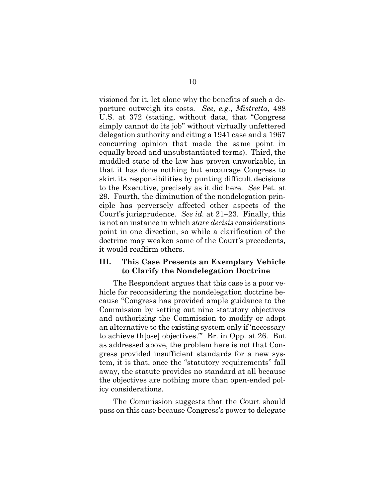visioned for it, let alone why the benefits of such a departure outweigh its costs. *See, e.g.*, *Mistretta*, 488 U.S. at 372 (stating, without data, that "Congress simply cannot do its job" without virtually unfettered delegation authority and citing a 1941 case and a 1967 concurring opinion that made the same point in equally broad and unsubstantiated terms). Third, the muddled state of the law has proven unworkable, in that it has done nothing but encourage Congress to skirt its responsibilities by punting difficult decisions to the Executive, precisely as it did here. *See* Pet. at 29. Fourth, the diminution of the nondelegation principle has perversely affected other aspects of the Court's jurisprudence. *See id.* at 21–23. Finally, this is not an instance in which *stare decisis* considerations point in one direction, so while a clarification of the doctrine may weaken some of the Court's precedents, it would reaffirm others.

#### **III. This Case Presents an Exemplary Vehicle to Clarify the Nondelegation Doctrine**

The Respondent argues that this case is a poor vehicle for reconsidering the nondelegation doctrine because "Congress has provided ample guidance to the Commission by setting out nine statutory objectives and authorizing the Commission to modify or adopt an alternative to the existing system only if 'necessary to achieve th[ose] objectives.'" Br. in Opp. at 26. But as addressed above, the problem here is not that Congress provided insufficient standards for a new system, it is that, once the "statutory requirements" fall away, the statute provides no standard at all because the objectives are nothing more than open-ended policy considerations.

The Commission suggests that the Court should pass on this case because Congress's power to delegate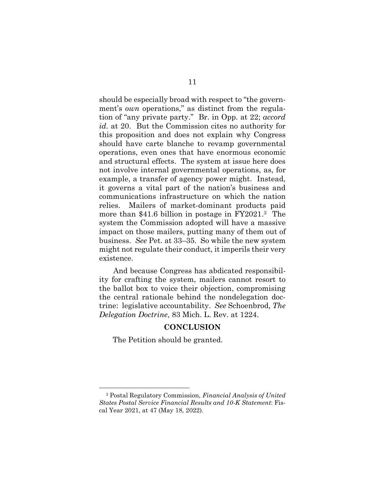should be especially broad with respect to "the government's *own* operations," as distinct from the regulation of "any private party." Br. in Opp. at 22; *accord id.* at 20. But the Commission cites no authority for this proposition and does not explain why Congress should have carte blanche to revamp governmental operations, even ones that have enormous economic and structural effects. The system at issue here does not involve internal governmental operations, as, for example, a transfer of agency power might. Instead, it governs a vital part of the nation's business and communications infrastructure on which the nation relies. Mailers of market-dominant products paid more than \$41.6 billion in postage in FY2021. <sup>3</sup> The system the Commission adopted will have a massive impact on those mailers, putting many of them out of business. *See* Pet. at 33–35. So while the new system might not regulate their conduct, it imperils their very existence.

And because Congress has abdicated responsibility for crafting the system, mailers cannot resort to the ballot box to voice their objection, compromising the central rationale behind the nondelegation doctrine: legislative accountability. *See* Schoenbrod, *The Delegation Doctrine*, 83 Mich. L. Rev. at 1224.

#### **CONCLUSION**

The Petition should be granted.

<sup>3</sup> Postal Regulatory Commission, *Financial Analysis of United States Postal Service Financial Results and 10-K Statement*: Fiscal Year 2021, at 47 (May 18, 2022).